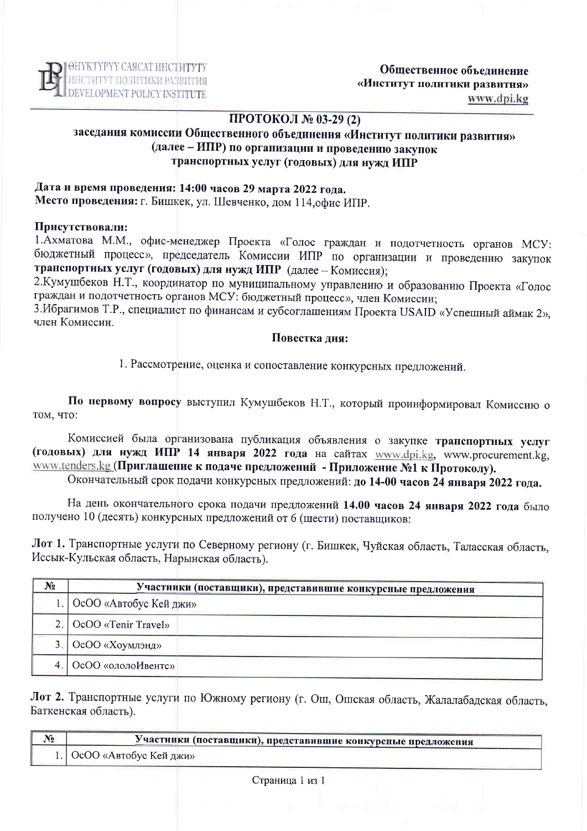

## ПРОТОКОЛ № 03-29 (2)

# заседания комиссии Общественного объединения «Институт политики развития» (далее - ИПР) по организации и проведению закупок транспортных услуг (годовых) для нужд ИПР

# Дата и время проведения: 14:00 часов 29 марта 2022 года. Место проведения: г. Бишкек, ул. Шевченко, дом 114, офис ИПР.

### Присутствовали:

1. Ахматова М.М., офис-менеджер Проекта «Голос граждан и подотчетность органов МСУ: бюджетный процесс», председатель Комиссии ИПР по организации и проведению закупок транспортных услуг (годовых) для нужд ИПР (далее - Комиссия);

2. Кумушбеков Н.Т., координатор по муниципальному управлению и образованию Проекта «Голос граждан и подотчетность органов МСУ: бюджетный процесс», член Комиссии;

3. Ибрагимов Т.Р., специалист по финансам и субсоглашениям Проекта USAID «Успешный аймак 2», член Комиссии

#### Повестка лня:

1. Рассмотрение, оценка и сопоставление конкурсных предложений.

По первому вопросу выступил Кумушбеков Н.Т., который проинформировал Комиссию о том, что:

Комиссией была организована публикация объявления о закупке транспортных услуг (годовых) для нужд ИПР 14 января 2022 года на сайтах www.dpi.kg, www.procurement.kg, www.tenders.kg (Приглашение к подаче предложений - Приложение №1 к Протоколу).

Окончательный срок подачи конкурсных предложений: до 14-00 часов 24 января 2022 года.

На день окончательного срока подачи предложений 14.00 часов 24 января 2022 года было получено 10 (десять) конкурсных предложений от 6 (шести) поставщиков:

Лот 1. Транспортные услуги по Северному региону (г. Бишкек, Чуйская область, Таласская область, Иссык-Кульская область, Нарынская область).

| N <sub>2</sub> | Участники (поставщики), представившие конкурсные предложения |
|----------------|--------------------------------------------------------------|
|                | 1. ОсОО «Автобус Кей джи»                                    |
|                | 2. OcOO «Tenir Travel»                                       |
|                | 3. ОсОО «Хоумлэнд»                                           |
| 4 <sup>1</sup> | <b>ОсОО</b> «ололоИвентс»                                    |

Лот 2. Транспортные услуги по Южному региону (г. Ош, Ошская область, Жалалабадская область, Баткенская область).

| $\mathcal{N}_2$ | Участники (поставщики), представившие конкурсные предложения |  |  |
|-----------------|--------------------------------------------------------------|--|--|
|                 | 1. ОсОО «Автобус Кей джи»                                    |  |  |